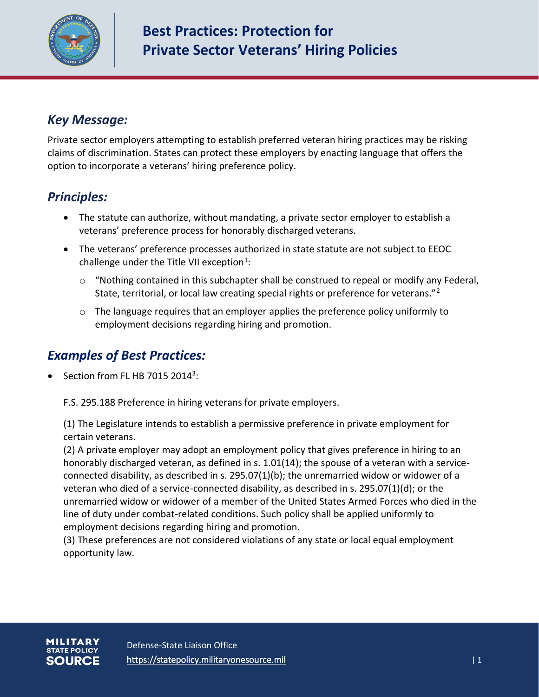

## *Key Message:*

Private sector employers attempting to establish preferred veteran hiring practices may be risking claims of discrimination. States can protect these employers by enacting language that offers the option to incorporate a veterans' hiring preference policy.

## *Principles:*

- The statute can authorize, without mandating, a private sector employer to establish a veterans' preference process for honorably discharged veterans.
- The veterans' preference processes authorized in state statute are not subject to EEOC challenge under the Title VII exception<sup>1</sup>:
	- o "Nothing contained in this subchapter shall be construed to repeal or modify any Federal, State, territorial, or local law creating special rights or preference for veterans."<sup>2</sup>
	- $\circ$  The language requires that an employer applies the preference policy uniformly to employment decisions regarding hiring and promotion.

## *Examples of Best Practices:*

• Section from FL HB 7015 2014 $^3$ :

F.S. 295.188 Preference in hiring veterans for private employers.

(1) The Legislature intends to establish a permissive preference in private employment for certain veterans.

(2) A private employer may adopt an employment policy that gives preference in hiring to an honorably discharged veteran, as defined in s. 1.01(14); the spouse of a veteran with a serviceconnected disability, as described in s. 295.07(1)(b); the unremarried widow or widower of a veteran who died of a service-connected disability, as described in s. 295.07(1)(d); or the unremarried widow or widower of a member of the United States Armed Forces who died in the line of duty under combat-related conditions. Such policy shall be applied uniformly to employment decisions regarding hiring and promotion.

(3) These preferences are not considered violations of any state or local equal employment opportunity law.